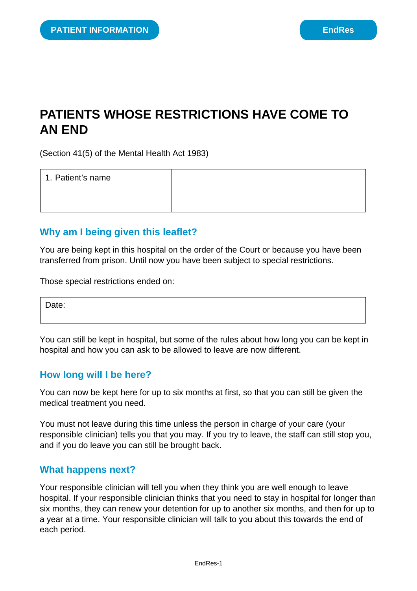# **PATIENTS WHOSE RESTRICTIONS HAVE COME TO AN END**

(Section 41(5) of the Mental Health Act 1983)

| 1. Patient's name |  |
|-------------------|--|
|                   |  |
|                   |  |

#### **Why am I being given this leaflet?**

You are being kept in this hospital on the order of the Court or because you have been transferred from prison. Until now you have been subject to special restrictions.

Those special restrictions ended on:

Date:

You can still be kept in hospital, but some of the rules about how long you can be kept in hospital and how you can ask to be allowed to leave are now different.

#### **How long will I be here?**

You can now be kept here for up to six months at first, so that you can still be given the medical treatment you need.

You must not leave during this time unless the person in charge of your care (your responsible clinician) tells you that you may. If you try to leave, the staff can still stop you, and if you do leave you can still be brought back.

#### **What happens next?**

Your responsible clinician will tell you when they think you are well enough to leave hospital. If your responsible clinician thinks that you need to stay in hospital for longer than six months, they can renew your detention for up to another six months, and then for up to a year at a time. Your responsible clinician will talk to you about this towards the end of each period.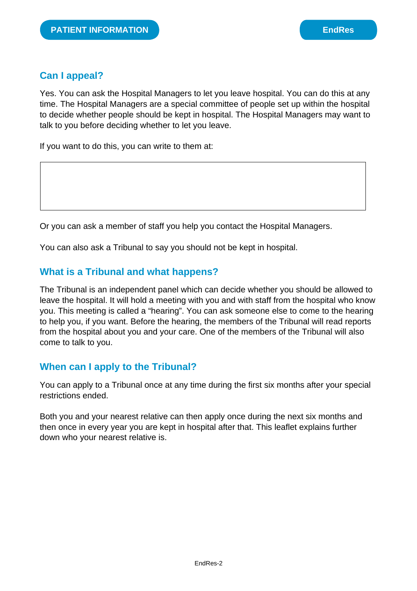## **Can I appeal?**

Yes. You can ask the Hospital Managers to let you leave hospital. You can do this at any time. The Hospital Managers are a special committee of people set up within the hospital to decide whether people should be kept in hospital. The Hospital Managers may want to talk to you before deciding whether to let you leave.

If you want to do this, you can write to them at:

Or you can ask a member of staff you help you contact the Hospital Managers.

You can also ask a Tribunal to say you should not be kept in hospital.

## **What is a Tribunal and what happens?**

The Tribunal is an independent panel which can decide whether you should be allowed to leave the hospital. It will hold a meeting with you and with staff from the hospital who know you. This meeting is called a "hearing". You can ask someone else to come to the hearing to help you, if you want. Before the hearing, the members of the Tribunal will read reports from the hospital about you and your care. One of the members of the Tribunal will also come to talk to you.

#### **When can I apply to the Tribunal?**

You can apply to a Tribunal once at any time during the first six months after your special restrictions ended.

Both you and your nearest relative can then apply once during the next six months and then once in every year you are kept in hospital after that. This leaflet explains further down who your nearest relative is.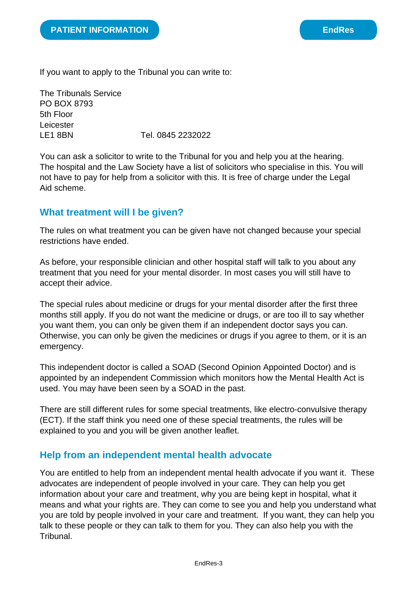If you want to apply to the Tribunal you can write to:

The Tribunals Service PO BOX 8793 5th Floor Leicester LE1 8BN Tel. 0845 2232022

You can ask a solicitor to write to the Tribunal for you and help you at the hearing. The hospital and the Law Society have a list of solicitors who specialise in this. You will not have to pay for help from a solicitor with this. It is free of charge under the Legal Aid scheme.

## **What treatment will I be given?**

The rules on what treatment you can be given have not changed because your special restrictions have ended.

As before, your responsible clinician and other hospital staff will talk to you about any treatment that you need for your mental disorder. In most cases you will still have to accept their advice.

The special rules about medicine or drugs for your mental disorder after the first three months still apply. If you do not want the medicine or drugs, or are too ill to say whether you want them, you can only be given them if an independent doctor says you can. Otherwise, you can only be given the medicines or drugs if you agree to them, or it is an emergency.

This independent doctor is called a SOAD (Second Opinion Appointed Doctor) and is appointed by an independent Commission which monitors how the Mental Health Act is used. You may have been seen by a SOAD in the past.

There are still different rules for some special treatments, like electro-convulsive therapy (ECT). If the staff think you need one of these special treatments, the rules will be explained to you and you will be given another leaflet.

## **Help from an independent mental health advocate**

You are entitled to help from an independent mental health advocate if you want it. These advocates are independent of people involved in your care. They can help you get information about your care and treatment, why you are being kept in hospital, what it means and what your rights are. They can come to see you and help you understand what you are told by people involved in your care and treatment. If you want, they can help you talk to these people or they can talk to them for you. They can also help you with the **Tribunal**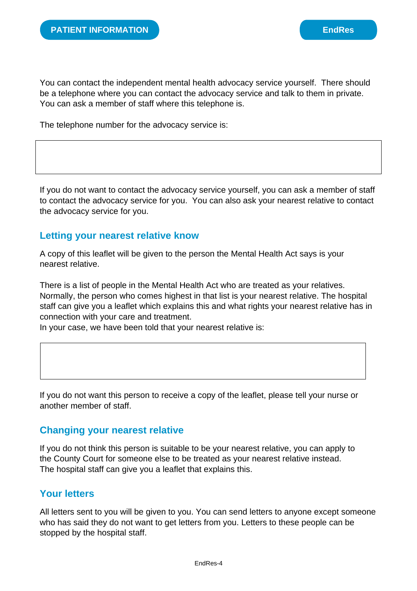You can contact the independent mental health advocacy service yourself. There should be a telephone where you can contact the advocacy service and talk to them in private. You can ask a member of staff where this telephone is.

The telephone number for the advocacy service is:

If you do not want to contact the advocacy service yourself, you can ask a member of staff to contact the advocacy service for you. You can also ask your nearest relative to contact the advocacy service for you.

#### **Letting your nearest relative know**

A copy of this leaflet will be given to the person the Mental Health Act says is your nearest relative.

There is a list of people in the Mental Health Act who are treated as your relatives. Normally, the person who comes highest in that list is your nearest relative. The hospital staff can give you a leaflet which explains this and what rights your nearest relative has in connection with your care and treatment.

In your case, we have been told that your nearest relative is:

If you do not want this person to receive a copy of the leaflet, please tell your nurse or another member of staff.

#### **Changing your nearest relative**

If you do not think this person is suitable to be your nearest relative, you can apply to the County Court for someone else to be treated as your nearest relative instead. The hospital staff can give you a leaflet that explains this.

## **Your letters**

All letters sent to you will be given to you. You can send letters to anyone except someone who has said they do not want to get letters from you. Letters to these people can be stopped by the hospital staff.